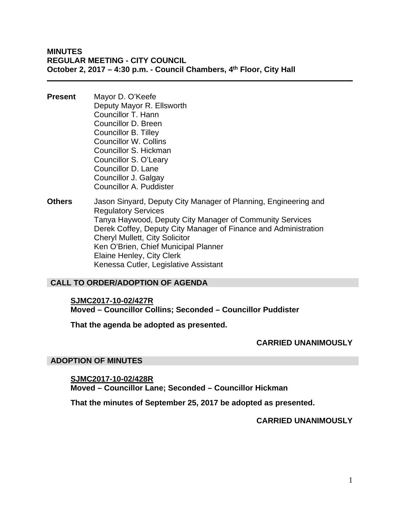**MINUTES REGULAR MEETING - CITY COUNCIL October 2, 2017 – 4:30 p.m. - Council Chambers, 4th Floor, City Hall** 

- **Present** Mayor D. O'Keefe Deputy Mayor R. Ellsworth Councillor T. Hann Councillor D. Breen Councillor B. Tilley Councillor W. Collins Councillor S. Hickman Councillor S. O'Leary Councillor D. Lane Councillor J. Galgay Councillor A. Puddister
- **Others** Jason Sinyard, Deputy City Manager of Planning, Engineering and Regulatory Services Tanya Haywood, Deputy City Manager of Community Services Derek Coffey, Deputy City Manager of Finance and Administration Cheryl Mullett, City Solicitor Ken O'Brien, Chief Municipal Planner Elaine Henley, City Clerk Kenessa Cutler, Legislative Assistant

#### **CALL TO ORDER/ADOPTION OF AGENDA**

#### **SJMC2017-10-02/427R**

**Moved – Councillor Collins; Seconded – Councillor Puddister** 

**That the agenda be adopted as presented.** 

#### **CARRIED UNANIMOUSLY**

#### **ADOPTION OF MINUTES**

# **SJMC2017-10-02/428R**

**Moved – Councillor Lane; Seconded – Councillor Hickman** 

**That the minutes of September 25, 2017 be adopted as presented.** 

#### **CARRIED UNANIMOUSLY**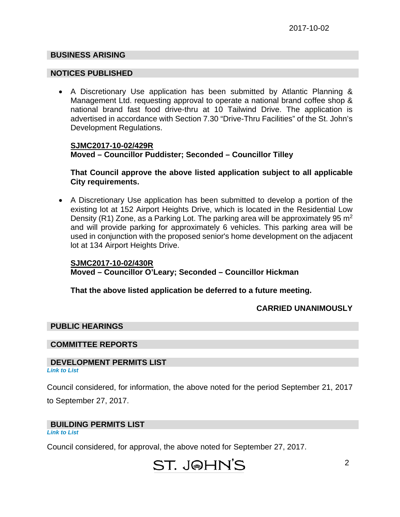#### **BUSINESS ARISING**

#### **NOTICES PUBLISHED**

 A Discretionary Use application has been submitted by Atlantic Planning & Management Ltd. requesting approval to operate a national brand coffee shop & national brand fast food drive-thru at 10 Tailwind Drive. The application is advertised in accordance with Section 7.30 "Drive-Thru Facilities" of the St. John's Development Regulations.

#### **SJMC2017-10-02/429R Moved – Councillor Puddister; Seconded – Councillor Tilley**

#### **That Council approve the above listed application subject to all applicable City requirements.**

 A Discretionary Use application has been submitted to develop a portion of the existing lot at 152 Airport Heights Drive, which is located in the Residential Low Density (R1) Zone, as a Parking Lot. The parking area will be approximately 95  $m<sup>2</sup>$ and will provide parking for approximately 6 vehicles. This parking area will be used in conjunction with the proposed senior's home development on the adjacent lot at 134 Airport Heights Drive.

#### **SJMC2017-10-02/430R**

**Moved – Councillor O'Leary; Seconded – Councillor Hickman** 

**That the above listed application be deferred to a future meeting.** 

#### **CARRIED UNANIMOUSLY**

#### **PUBLIC HEARINGS**

#### **COMMITTEE REPORTS**

#### **DEVELOPMENT PERMITS LIST**  *[Link to List](#page-4-0)*

Council considered, for information, the above noted for the period September 21, 2017

to September 27, 2017.

#### **BUILDING PERMITS LIST**

*[Link to List](#page-5-0)* 

Council considered, for approval, the above noted for September 27, 2017.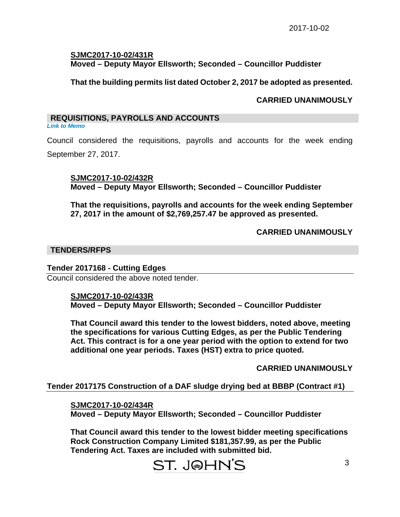#### **SJMC2017-10-02/431R Moved – Deputy Mayor Ellsworth; Seconded – Councillor Puddister**

#### **That the building permits list dated October 2, 2017 be adopted as presented.**

#### **CARRIED UNANIMOUSLY**

#### **REQUISITIONS, PAYROLLS AND ACCOUNTS**

*[Link to Memo](#page-8-0)* 

Council considered the requisitions, payrolls and accounts for the week ending September 27, 2017.

**SJMC2017-10-02/432R Moved – Deputy Mayor Ellsworth; Seconded – Councillor Puddister** 

**That the requisitions, payrolls and accounts for the week ending September 27, 2017 in the amount of \$2,769,257.47 be approved as presented.** 

#### **CARRIED UNANIMOUSLY**

#### **TENDERS/RFPS**

#### **Tender 2017168 - Cutting Edges**

Council considered the above noted tender.

#### **SJMC2017-10-02/433R Moved – Deputy Mayor Ellsworth; Seconded – Councillor Puddister**

**That Council award this tender to the lowest bidders, noted above, meeting the specifications for various Cutting Edges, as per the Public Tendering Act. This contract is for a one year period with the option to extend for two additional one year periods. Taxes (HST) extra to price quoted.**

**CARRIED UNANIMOUSLY** 

#### **Tender 2017175 Construction of a DAF sludge drying bed at BBBP (Contract #1)**

**SJMC2017-10-02/434R** 

**Moved – Deputy Mayor Ellsworth; Seconded – Councillor Puddister** 

**That Council award this tender to the lowest bidder meeting specifications Rock Construction Company Limited \$181,357.99, as per the Public Tendering Act. Taxes are included with submitted bid.**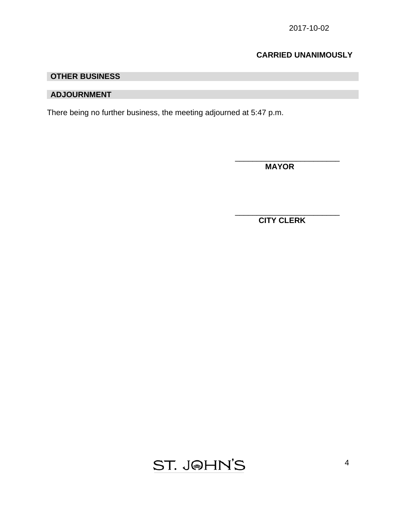## **CARRIED UNANIMOUSLY**

### **OTHER BUSINESS**

#### **ADJOURNMENT**

There being no further business, the meeting adjourned at 5:47 p.m.

 $\overline{\phantom{a}}$  , which is a set of the set of the set of the set of the set of the set of the set of the set of the set of the set of the set of the set of the set of the set of the set of the set of the set of the set of th

 $\overline{\phantom{a}}$  , and the contract of the contract of the contract of the contract of the contract of the contract of the contract of the contract of the contract of the contract of the contract of the contract of the contrac

 **MAYOR** 

 **CITY CLERK** 

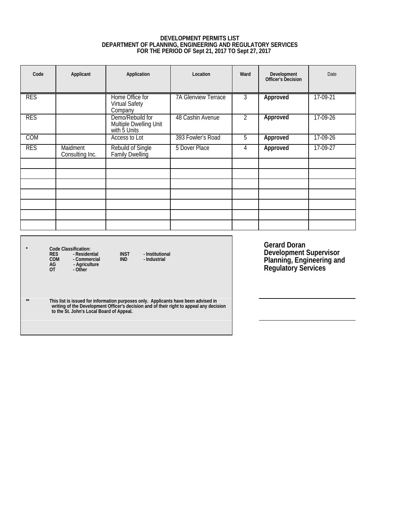# **DEVELOPMENT PERMITS LIST DEPARTMENT OF PLANNING, ENGINEERING AND REGULATORY SERVICES FOR THE PERIOD OF Sept 21, 2017 TO Sept 27, 2017**

<span id="page-4-0"></span>

| Code       | Applicant                   | Application                                                | Location                   | Ward           | Development<br>Officer's Decision | Date     |
|------------|-----------------------------|------------------------------------------------------------|----------------------------|----------------|-----------------------------------|----------|
| <b>RES</b> |                             | Home Office for<br><b>Virtual Safety</b><br>Company        | <b>7A Glenview Terrace</b> | 3              | Approved                          | 17-09-21 |
| <b>RES</b> |                             | Demo/Rebuild for<br>Multiple Dwelling Unit<br>with 5 Units | 48 Cashin Avenue           | $\overline{2}$ | Approved                          | 17-09-26 |
| <b>COM</b> |                             | Access to Lot                                              | 393 Fowler's Road          | 5              | Approved                          | 17-09-26 |
| <b>RES</b> | Maidment<br>Consulting Inc. | Rebuild of Single<br>Family Dwelling                       | 5 Dover Place              | 4              | Approved                          | 17-09-27 |
|            |                             |                                                            |                            |                |                                   |          |
|            |                             |                                                            |                            |                |                                   |          |
|            |                             |                                                            |                            |                |                                   |          |
|            |                             |                                                            |                            |                |                                   |          |
|            |                             |                                                            |                            |                |                                   |          |
|            |                             |                                                            |                            |                |                                   |          |
|            |                             |                                                            |                            |                |                                   |          |

**\* Code Classification: RES - Residential INST - Institutional COM - Commercial IND - Industrial AG - Agriculture OT - Other** 

**Gerard Doran Development Supervisor Planning, Engineering and Regulatory Services** 

\*\* This list is issued for information purposes only. Applicants have been advised in<br>writing of the Development Officer's decision and of their right to appeal any decision<br>to the St. John's Local Board of Appeal.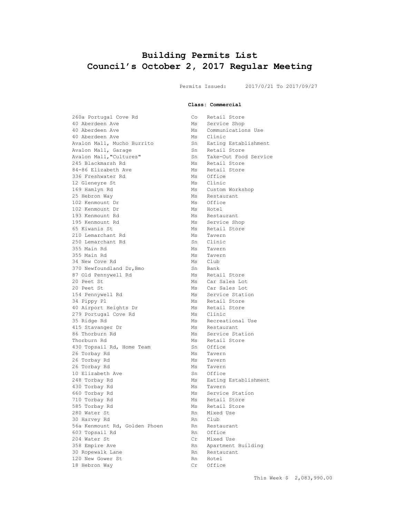# <span id="page-5-0"></span>**Building Permits List Council's October 2, 2017 Regular Meeting**

Permits Issued: 2017/0/21 To 2017/09/27

**Class: Commercial**

| 260a Portugal Cove Rd         | Co | Retail Store                        |
|-------------------------------|----|-------------------------------------|
| 40 Aberdeen Ave               | Ms | Service Shop                        |
| 40 Aberdeen Ave               | Ms | Communications Use                  |
| 40 Aberdeen Ave               | Ms | Clinic                              |
| Avalon Mall, Mucho Burrito    |    | Sn Eating Establishment             |
| Avalon Mall, Garage           | Sn | Retail Store                        |
| Avalon Mall, "Cultures"       | Sn | Take-Out Food Service               |
| 245 Blackmarsh Rd             | Ms | Retail Store                        |
| 84-86 Elizabeth Ave           |    | Ms Retail Store                     |
| 336 Freshwater Rd             | Ms | Office                              |
| 12 Gleneyre St                |    | Ms Clinic                           |
| 169 Hamlyn Rd                 |    | Ms Custom Workshop                  |
| 25 Hebron Way                 | Ms | Restaurant                          |
| 102 Kenmount Dr               |    | Ms Office                           |
| 102 Kenmount Dr               |    |                                     |
| 193 Kenmount Rd               | Ms | Ms Hotel                            |
|                               | Ms | Restaurant                          |
| 195 Kenmount Rd               |    | Service Shop                        |
| 65 Kiwanis St                 | Ms | Retail Store                        |
| 210 Lemarchant Rd             | Ms | Tavern<br>Sn Clinic                 |
| 250 Lemarchant Rd             |    |                                     |
| 355 Main Rd                   |    | Ms Tavern                           |
| 355 Main Rd                   |    | Ms Tave:<br>Ms Club<br>Tavern       |
| 34 New Cove Rd                |    |                                     |
| 370 Newfoundland Dr, Bmo      |    | Sn Bank                             |
| 87 Old Pennywell Rd           |    | Ms Retail Store<br>Ms Car Sales Lot |
| 20 Peet St                    |    |                                     |
| 20 Peet St                    |    | Ms Car Sales Lot                    |
| 154 Pennywell Rd              |    | Ms Service Station                  |
| 34 Pippy Pl                   | Ms | Retail Store                        |
| 40 Airport Heights Dr         | Ms | Retail Store                        |
| 279 Portugal Cove Rd          | Ms | Clinic                              |
| 35 Ridge Rd                   | Ms | Recreational Use                    |
| 415 Stavanger Dr              |    | Ms Restaurant                       |
| 86 Thorburn Rd                |    | Ms Service Station                  |
| Thorburn Rd                   | Ms | Retail Store                        |
| 430 Topsail Rd, Home Team     | Sn | Office                              |
| 26 Torbay Rd                  | Ms | Tavern                              |
| 26 Torbay Rd                  | Ms | Tavern                              |
| 26 Torbay Rd                  | Ms | Tavern                              |
| 10 Elizabeth Ave              |    | Sn Office                           |
| 248 Torbay Rd                 | Ms | Eating Establishment                |
| 430 Torbay Rd                 | Ms | Tavern                              |
| 660 Torbay Rd                 | Ms | Service Station                     |
| 710 Torbay Rd                 | Ms | Retail Store                        |
| 585 Torbay Rd                 | Ms | Retail Store                        |
| 280 Water St                  | Rn | Mixed Use                           |
| 30 Harvey Rd                  | Rn | Club                                |
| 56a Kenmount Rd, Golden Phoen | Rn | Restaurant                          |
| 603 Topsail Rd                | Rn | Office                              |
| 204 Water St                  | Cr | Mixed Use                           |
| 358 Empire Ave                | Rn | Apartment Building                  |
| 30 Ropewalk Lane              | Rn | Restaurant                          |
| 120 New Gower St              | Rn | Hotel                               |
|                               |    |                                     |
| 18 Hebron Way                 | Cr | Office                              |

| Retail Store          |
|-----------------------|
| Service Shop          |
| Communications Use    |
| Clinic                |
| Eating Establishment  |
| Retail Store          |
| Take-Out Food Service |
| Retail Store          |
| Retail Store          |
| Office                |
| Clinic                |
| Custom Workshop       |
| Restaurant            |
| Office                |
| Hotel                 |
| Restaurant            |
| Service Shop          |
| Retail Store          |
| Tavern                |
| Clinic                |
| Tavern                |
| Tavern                |
| Club                  |
| Bank                  |
| Retail Store          |
| Car Sales Lot         |
| Car Sales Lot         |
| Service Station       |
| Retail Store          |
| Retail Store          |
| Clinic                |
| Recreational Use      |
| Restaurant            |
| Service Station       |
| Retail Store          |
| Office                |
| Tavern                |
| Tavern                |
| Tavern                |
| Office                |
| Eating Establishment  |
| Tavern                |
| Service Station       |
| Retail Store          |
| Retail Store          |
| Mixed Use             |
| Club                  |
| Restaurant            |
| Office                |
| Mixed Use             |
| Apartment Building    |
| Restaurant            |
| Hotel                 |
| Office                |
|                       |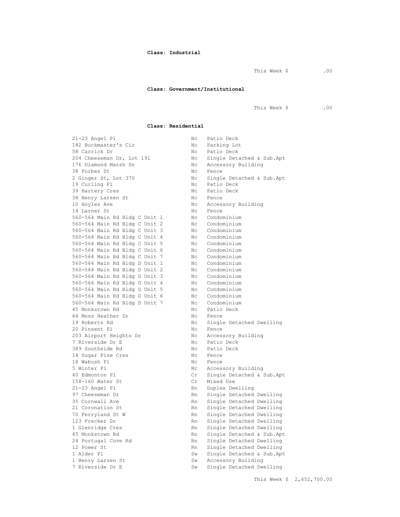#### **Class: Industrial**

This Week \$ .00

#### **Class: Government/Institutional**

This Week \$ .00

#### **Class: Residential**

21-23 Angel Pl Nc Patio Deck 182 Buckmaster's Cir Nc Parking Lot 58 Carrick Dr<br>
204 Cheeseman Dr, Lot 191 No Single Det.<br>
204 Cheeseman Dr, Lot 191 No Single Det. 176 Diamond Marsh Dr Nc Accessory Building 38 Forbes St. No. 2006 No. 2012 2 Ginger St, Lot 370 Nc Single Detached & Sub.Apt 19 Curling Pl Nc Patio Deck 39 Hartery Cres No. 2016 No. 2016 Patio Deck 38 Henry Larsen St Nc Fence 10 Hoyles Ave No. 2010 No. 2010 No. 2010 No. 2010 No. 2010 No. 2010 No. 2010 No. 2010 No. 2010 No. 2010 No. 20 14 Larner St Nc Fence 560-564 Main Rd Bldg C Unit 1 Nc Condominium 560-564 Main Rd Bldg C Unit 2 Nc Condominium 560-564 Main Rd Bldg C Unit 3 Nc Condominium 560-564 Main Rd Bldg C Unit 4 Nc Condominium 560-564 Main Rd Bldg C Unit 5 Nc Condominium 560-564 Main Rd Bldg C Unit 6 Nc Condominium 560-564 Main Rd Bldg C Unit 7 Nc Condominium 560-564 Main Rd Bldg D Unit 1 Nc Condominium 560-564 Main Rd Bldg D Unit 2 Nc Condominium 560-564 Main Rd Bldg D Unit 3 Nc Condominium 560-564 Main Rd Bldg D Unit 4 Nc Condominium 560-564 Main Rd Bldg D Unit 5 Nc Condominium 560-564 Main Rd Bldg D Unit 6 Nc Condominium 560-564 Main Rd Bldg D Unit 7 Nc Condominium 45 Monkstown Rd No Roman Nc Patio Deck 64 Moss Heather Dr Nc Fence 19 Roberts Rd Nc Single Detached Dwelling 20 Pinsent Pl Nc Fence 203 Airport Heights Dr Nc Accessory Building<br>7 Riverside Dr E Nc Patio Deck 7 Riverside Dr E 389 Southside Rd No Nc Patio Deck 14 Sugar Pine Cres Nc Fence<br>18 Wabush Pl Nc Fence 18 Wabush Pl Nc 5 Winter Pl Nc Accessory Building 40 Edmonton Pl Cr Single Detached & Sub.Apt 158-160 Water St 21-23 Angel Pl Rn Duplex Dwelling 97 Cheeseman Dr Rn Single Detached Dwelling 35 Cornwall Ave Rn Single Detached Dwelling 21 Coronation St Rn Single Detached Dwelling 70 Ferryland St W Rn Single Detached Dwelling 123 Frecker Dr Rn Single Detached Dwelling 1 Glenridge Cres The Rn Single Detached Dwelling 45 Monkstown Rd Rn Single Detached & Sub.Apt 24 Portugal Cove Rd Rn Single Detached Dwelling 12 Power St Rn Single Detached Dwelling 1 Alder Pl Sw Single Detached & Sub.Apt 1 Henry Larsen St Sw Accessory Building 7 Riverside Dr E Sw Single Detached Dwelling

Nc Single Detached & Sub.Apt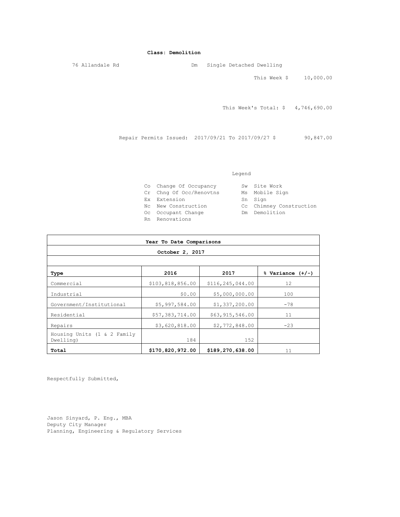#### **Class: Demolition**

76 Allandale Rd Dm Single Detached Dwelling This Week \$ 10,000.00

This Week's Total: \$ 4,746,690.00

Repair Permits Issued: 2017/09/21 To 2017/09/27 \$ 90,847.00

#### Legend

| Co Change Of Occupancy  | Sw Site Work            |
|-------------------------|-------------------------|
| Cr Chng Of Occ/Renovtns | Ms Mobile Sign          |
| Ex Extension            | Sn Sign                 |
| No New Construction     | Cc Chimney Construction |
| Oc Occupant Change      | Dm Demolition           |
| Rn Renovations          |                         |

| Year To Date Comparisons                 |                  |                  |                      |  |  |  |
|------------------------------------------|------------------|------------------|----------------------|--|--|--|
|                                          | October 2, 2017  |                  |                      |  |  |  |
|                                          |                  |                  |                      |  |  |  |
| Type                                     | 2016             | 2017             | $%$ Variance $(+/-)$ |  |  |  |
| Commercial                               | \$103,818,856.00 | \$116,245,044.00 | 12                   |  |  |  |
| Industrial                               | \$0.00           | \$5,000,000.00   | 100                  |  |  |  |
| Government/Institutional                 | \$5,997,584.00   | \$1,337,200.00   | $-78$                |  |  |  |
| Residential                              | \$57,383,714.00  | \$63,915,546.00  | 11                   |  |  |  |
| Repairs                                  | \$3,620,818.00   | \$2,772,848.00   | $-23$                |  |  |  |
| Housing Units (1 & 2 Family<br>Dwelling) | 184              | 152              |                      |  |  |  |
| Total                                    | \$170,820,972.00 | \$189,270,638.00 | 11                   |  |  |  |

Respectfully Submitted,

Jason Sinyard, P. Eng., MBA Deputy City Manager Planning, Engineering & Regulatory Services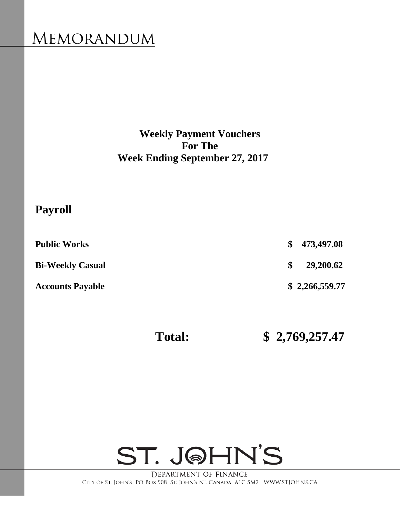# <span id="page-8-0"></span>**MEMORANDUM**

**Weekly Payment Vouchers For The Week Ending September 27, 2017** 

# **Payroll**

| <b>Public Works</b>     |    | \$473,497.08   |
|-------------------------|----|----------------|
| <b>Bi-Weekly Casual</b> | S. | 29,200.62      |
| <b>Accounts Payable</b> |    | \$2,266,559.77 |

 **Total: \$ 2,769,257.47** 

# ST. JOHN'S

DEPARTMENT OF FINANCE CITY OF ST. JOHN'S PO BOX 908 ST. JOHN'S NL CANADA A1C 5M2 WWW.STJOHNS.CA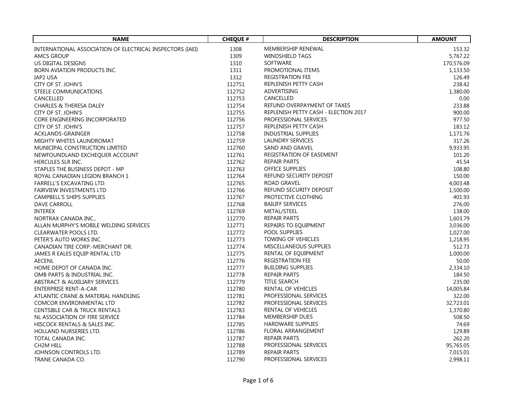| <b>NAME</b>                                               | <b>CHEQUE #</b> | <b>DESCRIPTION</b>                   | <b>AMOUNT</b> |
|-----------------------------------------------------------|-----------------|--------------------------------------|---------------|
| INTERNATIONAL ASSOCIATION OF ELECTRICAL INSPECTORS (IAEI) | 1308            | MEMBERSHIP RENEWAL                   | 153.32        |
| <b>AMCS GROUP</b>                                         | 1309            | <b>WINDSHIELD TAGS</b>               | 5,767.22      |
| US DIGITAL DESIGNS                                        | 1310            | <b>SOFTWARE</b>                      | 170,576.09    |
| <b>BORN AVIATION PRODUCTS INC.</b>                        | 1311            | PROMOTIONAL ITEMS                    | 1,133.50      |
| IAP2 USA                                                  | 1312            | <b>REGISTRATION FEE</b>              | 126.49        |
| CITY OF ST. JOHN'S                                        | 112751          | REPLENISH PETTY CASH                 | 238.42        |
| STEELE COMMUNICATIONS                                     | 112752          | ADVERTISING                          | 1,380.00      |
| CANCELLED                                                 | 112753          | CANCELLED                            | 0.00          |
| <b>CHARLES &amp; THERESA DALEY</b>                        | 112754          | REFUND OVERPAYMENT OF TAXES          | 233.88        |
| CITY OF ST. JOHN'S                                        | 112755          | REPLENISH PETTY CASH - ELECTION 2017 | 900.00        |
| CORE ENGINEERING INCORPORATED                             | 112756          | PROFESSIONAL SERVICES                | 977.50        |
| CITY OF ST. JOHN'S                                        | 112757          | REPLENISH PETTY CASH                 | 183.12        |
| ACKLANDS-GRAINGER                                         | 112758          | <b>INDUSTRIAL SUPPLIES</b>           | 1,171.76      |
| MIGHTY WHITES LAUNDROMAT                                  | 112759          | LAUNDRY SERVICES                     | 317.26        |
| MUNICIPAL CONSTRUCTION LIMITED                            | 112760          | SAND AND GRAVEL                      | 9,933.95      |
| NEWFOUNDLAND EXCHEQUER ACCOUNT                            | 112761          | REGISTRATION OF EASEMENT             | 101.20        |
| HERCULES SLR INC.                                         | 112762          | <b>REPAIR PARTS</b>                  | 45.54         |
| STAPLES THE BUSINESS DEPOT - MP                           | 112763          | <b>OFFICE SUPPLIES</b>               | 108.80        |
| ROYAL CANADIAN LEGION BRANCH 1                            | 112764          | REFUND SECURITY DEPOSIT              | 150.00        |
| FARRELL'S EXCAVATING LTD.                                 | 112765          | <b>ROAD GRAVEL</b>                   | 4,003.48      |
| <b>FAIRVIEW INVESTMENTS LTD</b>                           | 112766          | REFUND SECURITY DEPOSIT              | 1,500.00      |
| CAMPBELL'S SHIPS SUPPLIES                                 | 112767          | PROTECTIVE CLOTHING                  | 401.93        |
| <b>DAVE CARROLL</b>                                       | 112768          | <b>BAILIFF SERVICES</b>              | 276.00        |
| <b>INTEREX</b>                                            | 112769          | METAL/STEEL                          | 138.00        |
| NORTRAX CANADA INC.,                                      | 112770          | <b>REPAIR PARTS</b>                  | 1,603.79      |
| ALLAN MURPHY'S MOBILE WELDING SERVICES                    | 112771          | REPAIRS TO EQUIPMENT                 | 3,036.00      |
| CLEARWATER POOLS LTD.                                     | 112772          | POOL SUPPLIES                        | 1,027.00      |
| PETER'S AUTO WORKS INC.                                   | 112773          | <b>TOWING OF VEHICLES</b>            | 1,218.95      |
| CANADIAN TIRE CORP.-MERCHANT DR.                          | 112774          | MISCELLANEOUS SUPPLIES               | 512.73        |
| JAMES R EALES EQUIP RENTAL LTD                            | 112775          | RENTAL OF EQUIPMENT                  | 1,000.00      |
| <b>AECENL</b>                                             | 112776          | <b>REGISTRATION FEE</b>              | 50.00         |
| HOME DEPOT OF CANADA INC.                                 | 112777          | <b>BUILDING SUPPLIES</b>             | 2,334.10      |
| OMB PARTS & INDUSTRIAL INC.                               | 112778          | <b>REPAIR PARTS</b>                  | 184.50        |
| ABSTRACT & AUXILIARY SERVICES                             | 112779          | <b>TITLE SEARCH</b>                  | 235.00        |
| <b>ENTERPRISE RENT-A-CAR</b>                              | 112780          | RENTAL OF VEHICLES                   | 14,005.84     |
| ATLANTIC CRANE & MATERIAL HANDLING                        | 112781          | PROFESSIONAL SERVICES                | 322.00        |
| COMCOR ENVIRONMENTAL LTD                                  | 112782          | PROFESSIONAL SERVICES                | 32,723.01     |
| <b>CENTSIBLE CAR &amp; TRUCK RENTALS</b>                  | 112783          | RENTAL OF VEHICLES                   | 1,370.80      |
| NL ASSOCIATION OF FIRE SERVICE                            | 112784          | MEMBERSHIP DUES                      | 508.50        |
| HISCOCK RENTALS & SALES INC.                              | 112785          | <b>HARDWARE SUPPLIES</b>             | 74.69         |
| HOLLAND NURSERIES LTD.                                    | 112786          | FLORAL ARRANGEMENT                   | 129.89        |
| TOTAL CANADA INC.                                         | 112787          | <b>REPAIR PARTS</b>                  | 262.20        |
| CH <sub>2</sub> M HILL                                    | 112788          | PROFESSIONAL SERVICES                | 95,765.05     |
| JOHNSON CONTROLS LTD.                                     | 112789          | <b>REPAIR PARTS</b>                  | 7,015.01      |
| TRANE CANADA CO.                                          | 112790          | PROFESSIONAL SERVICES                | 2,998.11      |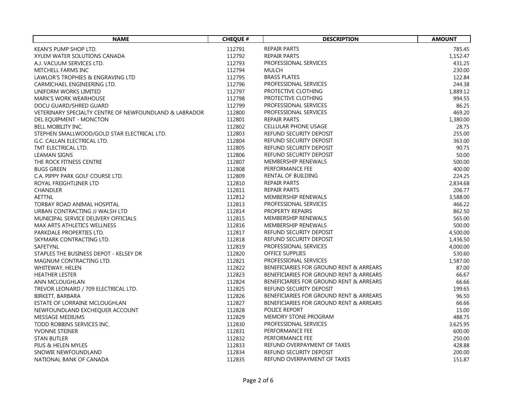| <b>NAME</b>                                            | <b>CHEQUE #</b> | <b>DESCRIPTION</b>                      | <b>AMOUNT</b> |
|--------------------------------------------------------|-----------------|-----------------------------------------|---------------|
| KEAN'S PUMP SHOP LTD.                                  | 112791          | <b>REPAIR PARTS</b>                     | 785.45        |
| XYLEM WATER SOLUTIONS CANADA                           | 112792          | <b>REPAIR PARTS</b>                     | 1,152.47      |
| A.J. VACUUM SERVICES LTD.                              | 112793          | PROFESSIONAL SERVICES                   | 431.25        |
| MITCHELL FARMS INC                                     | 112794          | MULCH                                   | 230.00        |
| LAWLOR'S TROPHIES & ENGRAVING LTD                      | 112795          | <b>BRASS PLATES</b>                     | 122.84        |
| CARMICHAEL ENGINEERING LTD.                            | 112796          | PROFESSIONAL SERVICES                   | 244.38        |
| UNIFORM WORKS LIMITED                                  | 112797          | PROTECTIVE CLOTHING                     | 1,889.12      |
| <b>MARK'S WORK WEARHOUSE</b>                           | 112798          | PROTECTIVE CLOTHING                     | 994.55        |
| DOCU GUARD/SHRED GUARD                                 | 112799          | PROFESSIONAL SERVICES                   | 86.25         |
| VETERINARY SPECIALTY CENTRE OF NEWFOUNDLAND & LABRADOR | 112800          | PROFESSIONAL SERVICES                   | 469.20        |
| DEL EQUIPMENT - MONCTON                                | 112801          | REPAIR PARTS                            | 1,380.00      |
| BELL MOBILITY INC.                                     | 112802          | <b>CELLULAR PHONE USAGE</b>             | 28.75         |
| STEPHEN SMALLWOOD/GOLD STAR ELECTRICAL LTD.            | 112803          | REFUND SECURITY DEPOSIT                 | 255.00        |
| G.C. CALLAN ELECTRICAL LTD.                            | 112804          | REFUND SECURITY DEPOSIT                 | 363.00        |
| TMT ELECTRICAL LTD.                                    | 112805          | REFUND SECURITY DEPOSIT                 | 90.75         |
| <b>LEAMAN SIGNS</b>                                    | 112806          | REFUND SECURITY DEPOSIT                 | 50.00         |
| THE ROCK FITNESS CENTRE                                | 112807          | MEMBERSHIP RENEWALS                     | 500.00        |
| <b>BUGS GREEN</b>                                      | 112808          | PERFORMANCE FEE                         | 400.00        |
| C.A. PIPPY PARK GOLF COURSE LTD.                       | 112809          | RENTAL OF BUILDING                      | 224.25        |
| ROYAL FREIGHTLINER LTD                                 | 112810          | <b>REPAIR PARTS</b>                     | 2,834.68      |
| <b>CHANDLER</b>                                        | 112811          | REPAIR PARTS                            | 206.77        |
| <b>AETTNL</b>                                          | 112812          | MEMBERSHIP RENEWALS                     | 3,588.00      |
| TORBAY ROAD ANIMAL HOSPITAL                            | 112813          | PROFESSIONAL SERVICES                   | 466.22        |
| URBAN CONTRACTING JJ WALSH LTD                         | 112814          | PROPERTY REPAIRS                        | 862.50        |
| MUNICIPAL SERVICE DELIVERY OFFICIALS                   | 112815          | <b>MEMBERSHIP RENEWALS</b>              | 565.00        |
| MAX ARTS ATHLETICS WELLNESS                            | 112816          | MEMBERSHIP RENEWALS                     | 500.00        |
| PARKDALE PROPERTIES LTD.                               | 112817          | REFUND SECURITY DEPOSIT                 | 4,500.00      |
| SKYMARK CONTRACTING LTD.                               | 112818          | <b>REFUND SECURITY DEPOSIT</b>          | 1,436.50      |
| SAFETYNL                                               | 112819          | PROFESSIONAL SERVICES                   | 4,000.00      |
| STAPLES THE BUSINESS DEPOT - KELSEY DR                 | 112820          | <b>OFFICE SUPPLIES</b>                  | 530.60        |
| MAGNUM CONTRACTING LTD.                                | 112821          | PROFESSIONAL SERVICES                   | 1,587.00      |
| WHITEWAY, HELEN                                        | 112822          | BENEFICIARIES FOR GROUND RENT & ARREARS | 87.00         |
| <b>HEATHER LESTER</b>                                  | 112823          | BENEFICIARIES FOR GROUND RENT & ARREARS | 66.67         |
| ANN MCLOUGHLAN                                         | 112824          | BENEFICIARIES FOR GROUND RENT & ARREARS | 66.66         |
| TREVOR LEONARD / 709 ELECTRICAL LTD.                   | 112825          | REFUND SECURITY DEPOSIT                 | 199.65        |
| BIRKETT, BARBARA                                       | 112826          | BENEFICIARIES FOR GROUND RENT & ARREARS | 96.50         |
| ESTATE OF LORRAINE MCLOUGHLAN                          | 112827          | BENEFICIARIES FOR GROUND RENT & ARREARS | 66.66         |
| NEWFOUNDLAND EXCHEQUER ACCOUNT                         | 112828          | POLICE REPORT                           | 15.00         |
| MESSAGE MEDIUMS                                        | 112829          | <b>MEMORY STONE PROGRAM</b>             | 488.75        |
| TODD ROBBINS SERVICES INC.                             | 112830          | PROFESSIONAL SERVICES                   | 3,625.95      |
| YVONNE STEINER                                         | 112831          | PERFORMANCE FEE                         | 600.00        |
| <b>STAN BUTLER</b>                                     | 112832          | PERFORMANCE FEE                         | 250.00        |
| PIUS & HELEN MYLES                                     | 112833          | REFUND OVERPAYMENT OF TAXES             | 428.88        |
| SNOWIE NEWFOUNDLAND                                    | 112834          | REFUND SECURITY DEPOSIT                 | 200.00        |
| NATIONAL BANK OF CANADA                                | 112835          | REFUND OVERPAYMENT OF TAXES             | 151.87        |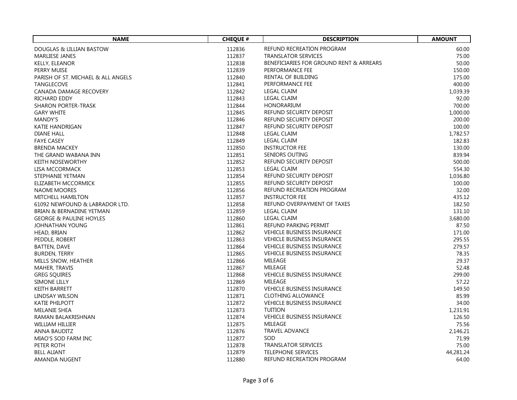| <b>NAME</b>                        | <b>CHEQUE #</b>  | <b>DESCRIPTION</b>                           | <b>AMOUNT</b>    |
|------------------------------------|------------------|----------------------------------------------|------------------|
| DOUGLAS & LILLIAN BASTOW           | 112836           | <b>REFUND RECREATION PROGRAM</b>             | 60.00            |
| <b>MARLIESE JANES</b>              | 112837           | <b>TRANSLATOR SERVICES</b>                   | 75.00            |
| KELLY, ELEANOR                     | 112838           | BENEFICIARIES FOR GROUND RENT & ARREARS      | 50.00            |
| PERRY MUISE                        | 112839           | PERFORMANCE FEE                              | 150.00           |
| PARISH OF ST. MICHAEL & ALL ANGELS | 112840           | RENTAL OF BUILDING                           | 175.00           |
| <b>TANGLECOVE</b>                  | 112841           | PERFORMANCE FEE                              | 400.00           |
| CANADA DAMAGE RECOVERY             | 112842           | <b>LEGAL CLAIM</b>                           | 1,039.39         |
| RICHARD EDDY                       | 112843           | <b>LEGAL CLAIM</b>                           | 92.00            |
| <b>SHARON PORTER-TRASK</b>         | 112844           | <b>HONORARIUM</b>                            | 700.00           |
| <b>GARY WHITE</b>                  | 112845           | REFUND SECURITY DEPOSIT                      | 1,000.00         |
| <b>MANDY'S</b>                     | 112846           | REFUND SECURITY DEPOSIT                      | 200.00           |
| <b>KATIE HANDRIGAN</b>             | 112847           | REFUND SECURITY DEPOSIT                      | 100.00           |
| <b>DIANE HALL</b>                  | 112848           | LEGAL CLAIM                                  | 1,782.57         |
| <b>FAYE CASEY</b>                  | 112849           | <b>LEGAL CLAIM</b>                           | 182.83           |
| <b>BRENDA MACKEY</b>               | 112850           | <b>INSTRUCTOR FEE</b>                        | 130.00           |
| THE GRAND WABANA INN               | 112851           | <b>SENIORS OUTING</b>                        | 839.94           |
| <b>KEITH NOSEWORTHY</b>            | 112852           | REFUND SECURITY DEPOSIT                      | 500.00           |
| LISA MCCORMACK                     | 112853           | <b>LEGAL CLAIM</b>                           | 554.30           |
| <b>STEPHANIE YETMAN</b>            | 112854           | REFUND SECURITY DEPOSIT                      | 1,036.80         |
| ELIZABETH MCCORMICK                | 112855           | REFUND SECURITY DEPOSIT                      | 100.00           |
| NAOMI MOORES                       | 112856           | REFUND RECREATION PROGRAM                    | 32.00            |
| <b>MITCHELL HAMILTON</b>           | 112857           | <b>INSTRUCTOR FEE</b>                        | 435.12           |
| 61092 NEWFOUND & LABRADOR LTD.     | 112858           | REFUND OVERPAYMENT OF TAXES                  | 182.50           |
| BRIAN & BERNADINE YETMAN           | 112859           | <b>LEGAL CLAIM</b>                           | 131.10           |
| <b>GEORGE &amp; PAULINE HOYLES</b> | 112860           | <b>LEGAL CLAIM</b>                           | 3,680.00         |
| JOHNATHAN YOUNG                    | 112861           | REFUND PARKING PERMIT                        | 87.50            |
|                                    | 112862           | <b>VEHICLE BUSINESS INSURANCE</b>            |                  |
| HEAD, BRIAN<br>PEDDLE, ROBERT      | 112863           | <b>VEHICLE BUSINESS INSURANCE</b>            | 171.00<br>295.55 |
| BATTEN, DAVE                       | 112864           | <b>VEHICLE BUSINESS INSURANCE</b>            | 279.57           |
| <b>BURDEN, TERRY</b>               | 112865           | <b>VEHICLE BUSINESS INSURANCE</b>            | 78.35            |
|                                    |                  | MILEAGE                                      |                  |
| MILLS SNOW, HEATHER                | 112866<br>112867 | MILEAGE                                      | 29.37            |
| MAHER, TRAVIS                      |                  |                                              | 52.48            |
| <b>GREG SQUIRES</b>                | 112868<br>112869 | <b>VEHICLE BUSINESS INSURANCE</b><br>MILEAGE | 299.00<br>57.22  |
| SIMONE LILLY                       |                  | <b>VEHICLE BUSINESS INSURANCE</b>            |                  |
| <b>KEITH BARRETT</b>               | 112870           |                                              | 149.50           |
| LINDSAY WILSON                     | 112871           | <b>CLOTHING ALLOWANCE</b>                    | 85.99            |
| <b>KATIE PHILPOTT</b>              | 112872           | <b>VEHICLE BUSINESS INSURANCE</b>            | 34.00            |
| MELANIE SHEA                       | 112873           | <b>TUITION</b>                               | 1,231.91         |
| RAMAN BALAKRISHNAN                 | 112874           | <b>VEHICLE BUSINESS INSURANCE</b>            | 126.50           |
| WILLIAM HILLIER                    | 112875           | MILEAGE                                      | 75.56            |
| ANNA BAUDITZ                       | 112876           | <b>TRAVEL ADVANCE</b>                        | 2,146.21         |
| MIAO'S SOD FARM INC                | 112877           | SOD                                          | 71.99            |
| PETER ROTH                         | 112878           | <b>TRANSLATOR SERVICES</b>                   | 75.00            |
| <b>BELL ALIANT</b>                 | 112879           | <b>TELEPHONE SERVICES</b>                    | 44,281.24        |
| <b>AMANDA NUGENT</b>               | 112880           | <b>REFUND RECREATION PROGRAM</b>             | 64.00            |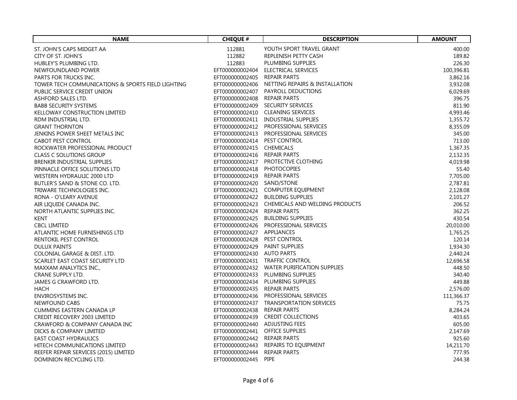| <b>NAME</b>                                                 | <b>CHEQUE #</b>                 | <b>DESCRIPTION</b>                             | <b>AMOUNT</b> |
|-------------------------------------------------------------|---------------------------------|------------------------------------------------|---------------|
| ST. JOHN'S CAPS MIDGET AA                                   | 112881                          | YOUTH SPORT TRAVEL GRANT                       | 400.00        |
| CITY OF ST. JOHN'S                                          | 112882                          | REPLENISH PETTY CASH                           | 189.82        |
| HUBLEY'S PLUMBING LTD.                                      | 112883                          | PLUMBING SUPPLIES                              | 226.30        |
| NEWFOUNDLAND POWER                                          |                                 | EFT000000002404 ELECTRICAL SERVICES            | 100,396.81    |
| PARTS FOR TRUCKS INC.                                       | EFT000000002405 REPAIR PARTS    |                                                | 3,862.16      |
| TOWER TECH COMMUNICATIONS & SPORTS FIELD LIGHTING           |                                 | EFT000000002406 NETTING REPAIRS & INSTALLATION | 3,932.08      |
| PUBLIC SERVICE CREDIT UNION                                 |                                 | EFT000000002407 PAYROLL DEDUCTIONS             | 6,029.69      |
| ASHFORD SALES LTD.                                          | EFT000000002408 REPAIR PARTS    |                                                | 396.75        |
| <b>BABB SECURITY SYSTEMS</b>                                |                                 | EFT000000002409 SECURITY SERVICES              | 811.90        |
| KELLOWAY CONSTRUCTION LIMITED                               |                                 | EFT000000002410 CLEANING SERVICES              | 4,993.46      |
| RDM INDUSTRIAL LTD.                                         |                                 | EFT000000002411 INDUSTRIAL SUPPLIES            | 1,355.72      |
| <b>GRANT THORNTON</b>                                       |                                 | EFT000000002412 PROFESSIONAL SERVICES          | 8,355.09      |
| JENKINS POWER SHEET METALS INC                              |                                 | EFT000000002413 PROFESSIONAL SERVICES          | 345.00        |
|                                                             | EFT000000002414 PEST CONTROL    |                                                | 713.00        |
| <b>CABOT PEST CONTROL</b><br>ROCKWATER PROFESSIONAL PRODUCT | EFT000000002415 CHEMICALS       |                                                |               |
|                                                             |                                 |                                                | 1,367.35      |
| <b>CLASS C SOLUTIONS GROUP</b>                              | EFT000000002416 REPAIR PARTS    |                                                | 2,132.35      |
| <b>BRENKIR INDUSTRIAL SUPPLIES</b>                          |                                 | EFT000000002417 PROTECTIVE CLOTHING            | 4,019.98      |
| PINNACLE OFFICE SOLUTIONS LTD                               | EFT000000002418 PHOTOCOPIES     |                                                | 55.40         |
| WESTERN HYDRAULIC 2000 LTD                                  | EFT000000002419 REPAIR PARTS    |                                                | 7,705.00      |
| BUTLER'S SAND & STONE CO. LTD.                              | EFT000000002420 SAND/STONE      |                                                | 2,787.81      |
| TRIWARE TECHNOLOGIES INC.                                   |                                 | EFT000000002421 COMPUTER EQUIPMENT             | 2,128.08      |
| RONA - O'LEARY AVENUE                                       |                                 | EFT000000002422 BUILDING SUPPLIES              | 2,101.27      |
| AIR LIQUIDE CANADA INC.                                     |                                 | EFT000000002423 CHEMICALS AND WELDING PRODUCTS | 206.52        |
| NORTH ATLANTIC SUPPLIES INC.                                | EFT000000002424 REPAIR PARTS    |                                                | 362.25        |
| <b>KENT</b>                                                 |                                 | EFT000000002425 BUILDING SUPPLIES              | 430.54        |
| <b>CBCL LIMITED</b>                                         |                                 | EFT000000002426 PROFESSIONAL SERVICES          | 20,010.00     |
| ATLANTIC HOME FURNISHINGS LTD                               | EFT000000002427 APPLIANCES      |                                                | 1,765.25      |
| RENTOKIL PEST CONTROL                                       | EFT000000002428 PEST CONTROL    |                                                | 120.14        |
| <b>DULUX PAINTS</b>                                         | EFT000000002429 PAINT SUPPLIES  |                                                | 1,934.30      |
| COLONIAL GARAGE & DIST. LTD.                                | EFT000000002430 AUTO PARTS      |                                                | 2,440.24      |
| SCARLET EAST COAST SECURITY LTD                             |                                 | EFT000000002431 TRAFFIC CONTROL                | 12,696.58     |
| MAXXAM ANALYTICS INC.,                                      |                                 | EFT000000002432 WATER PURIFICATION SUPPLIES    | 448.50        |
| <b>CRANE SUPPLY LTD.</b>                                    |                                 | EFT000000002433 PLUMBING SUPPLIES              | 340.40        |
| JAMES G CRAWFORD LTD.                                       |                                 | EFT000000002434 PLUMBING SUPPLIES              | 449.88        |
| <b>HACH</b>                                                 | EFT000000002435 REPAIR PARTS    |                                                | 2,576.00      |
| <b>ENVIROSYSTEMS INC.</b>                                   |                                 | EFT000000002436 PROFESSIONAL SERVICES          | 111,366.37    |
| <b>NEWFOUND CABS</b>                                        |                                 | EFT000000002437 TRANSPORTATION SERVICES        | 75.75         |
| CUMMINS EASTERN CANADA LP                                   | EFT000000002438 REPAIR PARTS    |                                                | 8,284.24      |
| CREDIT RECOVERY 2003 LIMITED                                |                                 | EFT000000002439 CREDIT COLLECTIONS             | 403.65        |
| CRAWFORD & COMPANY CANADA INC                               | EFT000000002440 ADJUSTING FEES  |                                                | 605.00        |
| DICKS & COMPANY LIMITED                                     | EFT000000002441 OFFICE SUPPLIES |                                                | 2,147.69      |
| <b>EAST COAST HYDRAULICS</b>                                | EFT000000002442 REPAIR PARTS    |                                                | 925.60        |
| HITECH COMMUNICATIONS LIMITED                               |                                 | EFT000000002443 REPAIRS TO EQUIPMENT           | 14,211.70     |
| REEFER REPAIR SERVICES (2015) LIMITED                       | EFT000000002444 REPAIR PARTS    |                                                | 777.95        |
| DOMINION RECYCLING LTD.                                     | EFT000000002445 PIPE            |                                                | 244.38        |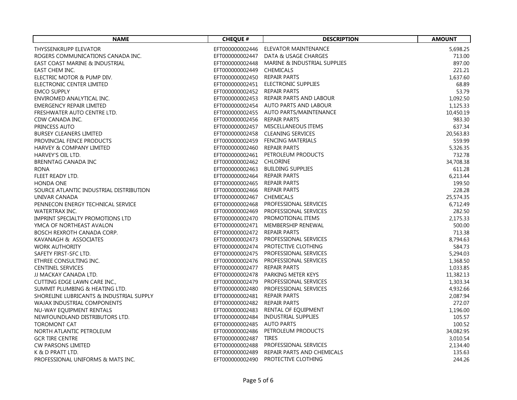| <b>NAME</b>                              | <b>CHEQUE #</b>              | <b>DESCRIPTION</b>                           | <b>AMOUNT</b> |
|------------------------------------------|------------------------------|----------------------------------------------|---------------|
| THYSSENKRUPP ELEVATOR                    |                              | EFT000000002446 ELEVATOR MAINTENANCE         | 5,698.25      |
| ROGERS COMMUNICATIONS CANADA INC.        |                              | EFT000000002447 DATA & USAGE CHARGES         | 713.00        |
| EAST COAST MARINE & INDUSTRIAL           |                              | EFT000000002448 MARINE & INDUSTRIAL SUPPLIES | 897.00        |
| EAST CHEM INC.                           | EFT000000002449 CHEMICALS    |                                              | 221.21        |
| ELECTRIC MOTOR & PUMP DIV.               | EFT000000002450 REPAIR PARTS |                                              | 1,637.60      |
| ELECTRONIC CENTER LIMITED                |                              | EFT000000002451 ELECTRONIC SUPPLIES          | 68.89         |
| <b>EMCO SUPPLY</b>                       | EFT000000002452 REPAIR PARTS |                                              | 53.79         |
| ENVIROMED ANALYTICAL INC.                |                              | EFT000000002453 REPAIR PARTS AND LABOUR      | 1,092.50      |
| EMERGENCY REPAIR LIMITED                 |                              | EFT000000002454 AUTO PARTS AND LABOUR        | 1,125.33      |
| FRESHWATER AUTO CENTRE LTD.              |                              | EFT000000002455 AUTO PARTS/MAINTENANCE       | 10,450.19     |
| CDW CANADA INC.                          | EFT000000002456 REPAIR PARTS |                                              | 983.30        |
| PRINCESS AUTO                            |                              | EFT000000002457 MISCELLANEOUS ITEMS          | 637.34        |
| <b>BURSEY CLEANERS LIMITED</b>           |                              | EFT000000002458 CLEANING SERVICES            | 20,563.83     |
| PROVINCIAL FENCE PRODUCTS                |                              | EFT000000002459 FENCING MATERIALS            | 559.99        |
| HARVEY & COMPANY LIMITED                 | EFT000000002460 REPAIR PARTS |                                              | 5,326.35      |
| HARVEY'S OIL LTD.                        |                              | EFT000000002461 PETROLEUM PRODUCTS           | 732.78        |
| BRENNTAG CANADA INC                      | EFT000000002462 CHLORINE     |                                              | 34,708.38     |
| <b>RONA</b>                              |                              | EFT000000002463 BUILDING SUPPLIES            | 611.28        |
| FLEET READY LTD.                         | EFT000000002464 REPAIR PARTS |                                              | 6,213.44      |
| <b>HONDA ONE</b>                         | EFT000000002465 REPAIR PARTS |                                              | 199.50        |
| SOURCE ATLANTIC INDUSTRIAL DISTRIBUTION  | EFT000000002466 REPAIR PARTS |                                              | 228.28        |
| UNIVAR CANADA                            | EFT000000002467 CHEMICALS    |                                              | 25,574.35     |
| PENNECON ENERGY TECHNICAL SERVICE        |                              | EFT000000002468 PROFESSIONAL SERVICES        | 6,712.49      |
| <b>WATERTRAX INC.</b>                    |                              | EFT000000002469 PROFESSIONAL SERVICES        | 282.50        |
| IMPRINT SPECIALTY PROMOTIONS LTD         |                              | EFT000000002470 PROMOTIONAL ITEMS            | 2,175.33      |
| YMCA OF NORTHEAST AVALON                 |                              | EFT000000002471 MEMBERSHIP RENEWAL           | 500.00        |
| BOSCH REXROTH CANADA CORP.               | EFT000000002472 REPAIR PARTS |                                              | 713.38        |
| KAVANAGH & ASSOCIATES                    |                              | EFT000000002473 PROFESSIONAL SERVICES        | 8,794.63      |
| <b>WORK AUTHORITY</b>                    |                              | EFT000000002474 PROTECTIVE CLOTHING          | 584.73        |
| SAFETY FIRST-SFC LTD.                    |                              | EFT000000002475 PROFESSIONAL SERVICES        | 5,294.03      |
| ETHREE CONSULTING INC.                   |                              | EFT000000002476 PROFESSIONAL SERVICES        | 1,368.50      |
| <b>CENTINEL SERVICES</b>                 | EFT000000002477 REPAIR PARTS |                                              | 1,033.85      |
| JJ MACKAY CANADA LTD.                    |                              | EFT000000002478 PARKING METER KEYS           | 11,382.13     |
| CUTTING EDGE LAWN CARE INC.,             |                              | EFT000000002479 PROFESSIONAL SERVICES        | 1,303.34      |
| SUMMIT PLUMBING & HEATING LTD.           |                              | EFT000000002480 PROFESSIONAL SERVICES        | 4,932.66      |
| SHORELINE LUBRICANTS & INDUSTRIAL SUPPLY | EFT000000002481 REPAIR PARTS |                                              | 2,087.94      |
| WAJAX INDUSTRIAL COMPONENTS              | EFT000000002482 REPAIR PARTS |                                              | 272.07        |
| NU-WAY EQUIPMENT RENTALS                 |                              | EFT000000002483 RENTAL OF EQUIPMENT          | 1,196.00      |
| NEWFOUNDLAND DISTRIBUTORS LTD.           |                              | EFT000000002484 INDUSTRIAL SUPPLIES          | 105.57        |
| <b>TOROMONT CAT</b>                      | EFT000000002485 AUTO PARTS   |                                              | 100.52        |
| NORTH ATLANTIC PETROLEUM                 |                              | EFT000000002486 PETROLEUM PRODUCTS           | 34,082.95     |
| <b>GCR TIRE CENTRE</b>                   | EFT000000002487 TIRES        |                                              | 3,010.54      |
| <b>CW PARSONS LIMITED</b>                |                              | EFT000000002488 PROFESSIONAL SERVICES        | 2,134.40      |
| K & D PRATT LTD.                         |                              | EFT000000002489 REPAIR PARTS AND CHEMICALS   | 135.63        |
| PROFESSIONAL UNIFORMS & MATS INC.        |                              | EFT000000002490 PROTECTIVE CLOTHING          | 244.26        |